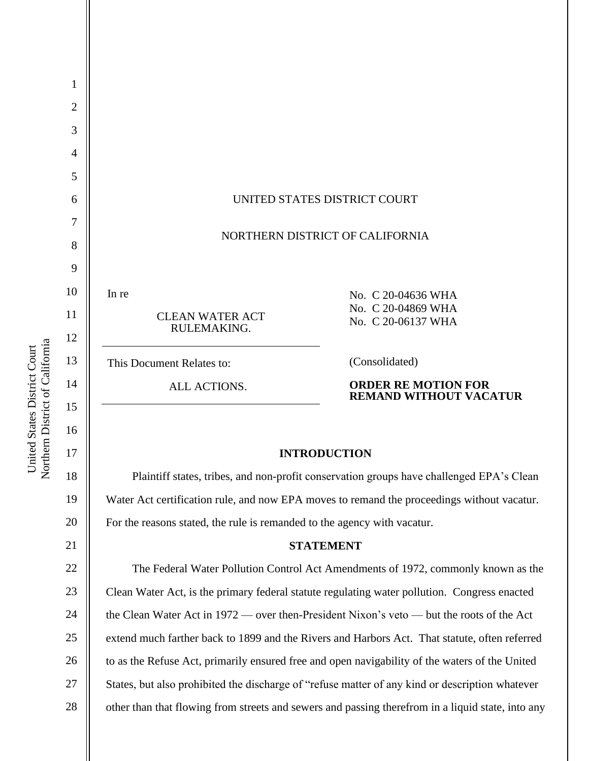

Plaintiff states, tribes, and non-profit conservation groups have challenged EPA's Clean Water Act certification rule, and now EPA moves to remand the proceedings without vacatur. For the reasons stated, the rule is remanded to the agency with vacatur.

#### **STATEMENT**

22 23 24 25 26 27 28 The Federal Water Pollution Control Act Amendments of 1972, commonly known as the Clean Water Act, is the primary federal statute regulating water pollution. Congress enacted the Clean Water Act in 1972 — over then-President Nixon's veto — but the roots of the Act extend much farther back to 1899 and the Rivers and Harbors Act. That statute, often referred to as the Refuse Act, primarily ensured free and open navigability of the waters of the United States, but also prohibited the discharge of "refuse matter of any kind or description whatever other than that flowing from streets and sewers and passing therefrom in a liquid state, into any

Northern District of California Northern District of California United States District Court United States District Court

19

20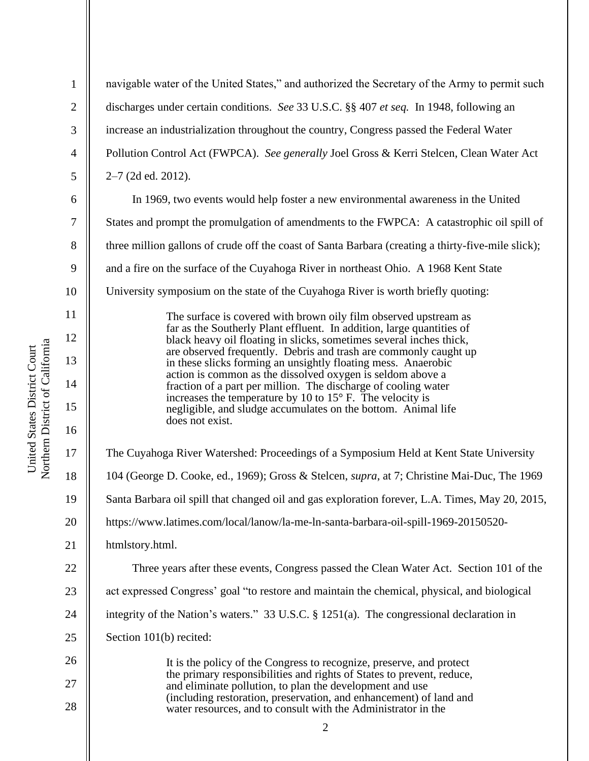1 2 3 4 5 6 7 8 9 10 11 12 13 14 15 16 17 18 19 20 21 22 23 24 25 26 27 28 navigable water of the United States," and authorized the Secretary of the Army to permit such discharges under certain conditions. *See* 33 U.S.C. §§ 407 *et seq.* In 1948, following an increase an industrialization throughout the country, Congress passed the Federal Water Pollution Control Act (FWPCA). *See generally* Joel Gross & Kerri Stelcen, Clean Water Act 2–7 (2d ed. 2012). In 1969, two events would help foster a new environmental awareness in the United States and prompt the promulgation of amendments to the FWPCA: A catastrophic oil spill of three million gallons of crude off the coast of Santa Barbara (creating a thirty-five-mile slick); and a fire on the surface of the Cuyahoga River in northeast Ohio. A 1968 Kent State University symposium on the state of the Cuyahoga River is worth briefly quoting: The surface is covered with brown oily film observed upstream as far as the Southerly Plant effluent. In addition, large quantities of black heavy oil floating in slicks, sometimes several inches thick, are observed frequently. Debris and trash are commonly caught up in these slicks forming an unsightly floating mess. Anaerobic action is common as the dissolved oxygen is seldom above a fraction of a part per million. The discharge of cooling water increases the temperature by 10 to  $15^{\circ}$  F. The velocity is negligible, and sludge accumulates on the bottom. Animal life does not exist. The Cuyahoga River Watershed: Proceedings of a Symposium Held at Kent State University 104 (George D. Cooke, ed., 1969); Gross & Stelcen, *supra*, at 7; Christine Mai-Duc, The 1969 Santa Barbara oil spill that changed oil and gas exploration forever, L.A. Times, May 20, 2015, https://www.latimes.com/local/lanow/la-me-ln-santa-barbara-oil-spill-1969-20150520 htmlstory.html. Three years after these events, Congress passed the Clean Water Act. Section 101 of the act expressed Congress' goal "to restore and maintain the chemical, physical, and biological integrity of the Nation's waters." 33 U.S.C. § 1251(a). The congressional declaration in Section 101(b) recited: It is the policy of the Congress to recognize, preserve, and protect the primary responsibilities and rights of States to prevent, reduce, and eliminate pollution, to plan the development and use (including restoration, preservation, and enhancement) of land and water resources, and to consult with the Administrator in the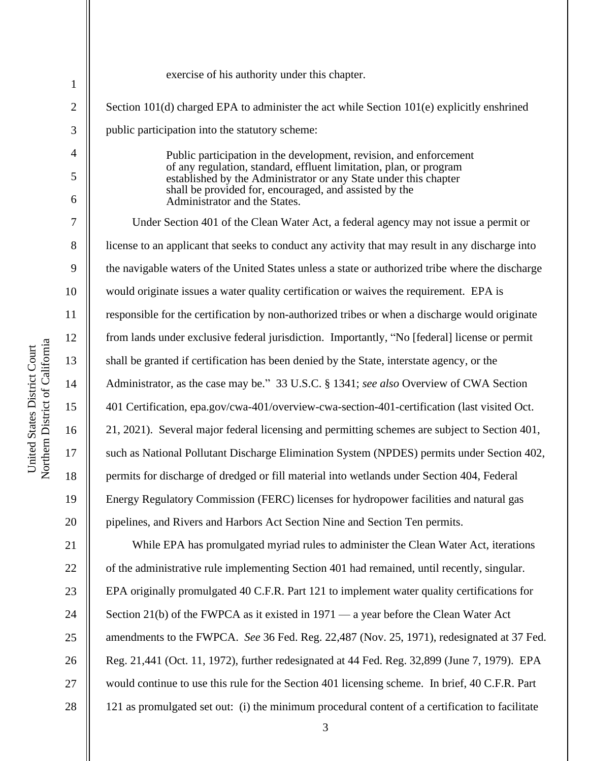| $\mathbf{1}$        | exercise of his authority under this chapter.                                                                                                                                                                                                                          |
|---------------------|------------------------------------------------------------------------------------------------------------------------------------------------------------------------------------------------------------------------------------------------------------------------|
| $\overline{2}$      | Section 101(d) charged EPA to administer the act while Section 101(e) explicitly enshrined                                                                                                                                                                             |
| 3                   | public participation into the statutory scheme:                                                                                                                                                                                                                        |
| $\overline{4}$<br>5 | Public participation in the development, revision, and enforcement<br>of any regulation, standard, effluent limitation, plan, or program<br>established by the Administrator or any State under this chapter<br>shall be provided for, encouraged, and assisted by the |
| 6                   | Administrator and the States.                                                                                                                                                                                                                                          |
| 7                   | Under Section 401 of the Clean Water Act, a federal agency may not issue a permit or                                                                                                                                                                                   |
| 8                   | license to an applicant that seeks to conduct any activity that may result in any discharge into                                                                                                                                                                       |
| 9                   | the navigable waters of the United States unless a state or authorized tribe where the discharge                                                                                                                                                                       |
| 10                  | would originate issues a water quality certification or waives the requirement. EPA is                                                                                                                                                                                 |
| 11                  | responsible for the certification by non-authorized tribes or when a discharge would originate                                                                                                                                                                         |
| 12                  | from lands under exclusive federal jurisdiction. Importantly, "No [federal] license or permit                                                                                                                                                                          |
| 13                  | shall be granted if certification has been denied by the State, interstate agency, or the                                                                                                                                                                              |
| 14                  | Administrator, as the case may be." 33 U.S.C. § 1341; see also Overview of CWA Section                                                                                                                                                                                 |
| 15                  | 401 Certification, epa.gov/cwa-401/overview-cwa-section-401-certification (last visited Oct.                                                                                                                                                                           |
| 16                  | 21, 2021). Several major federal licensing and permitting schemes are subject to Section 401,                                                                                                                                                                          |
| 17                  | such as National Pollutant Discharge Elimination System (NPDES) permits under Section 402,                                                                                                                                                                             |
| 18                  | permits for discharge of dredged or fill material into wetlands under Section 404, Federal                                                                                                                                                                             |
| 19                  | Energy Regulatory Commission (FERC) licenses for hydropower facilities and natural gas                                                                                                                                                                                 |
| 20                  | pipelines, and Rivers and Harbors Act Section Nine and Section Ten permits.                                                                                                                                                                                            |
| 21                  | While EPA has promulgated myriad rules to administer the Clean Water Act, iterations                                                                                                                                                                                   |
| 22                  | of the administrative rule implementing Section 401 had remained, until recently, singular.                                                                                                                                                                            |
| 23                  | EPA originally promulgated 40 C.F.R. Part 121 to implement water quality certifications for                                                                                                                                                                            |
| 24                  | Section 21(b) of the FWPCA as it existed in $1971 - a$ year before the Clean Water Act                                                                                                                                                                                 |
| 25                  | amendments to the FWPCA. See 36 Fed. Reg. 22,487 (Nov. 25, 1971), redesignated at 37 Fed.                                                                                                                                                                              |
| 26                  | Reg. 21,441 (Oct. 11, 1972), further redesignated at 44 Fed. Reg. 32,899 (June 7, 1979). EPA                                                                                                                                                                           |
| 27                  | would continue to use this rule for the Section 401 licensing scheme. In brief, 40 C.F.R. Part                                                                                                                                                                         |
| 28                  | 121 as promulgated set out: (i) the minimum procedural content of a certification to facilitate                                                                                                                                                                        |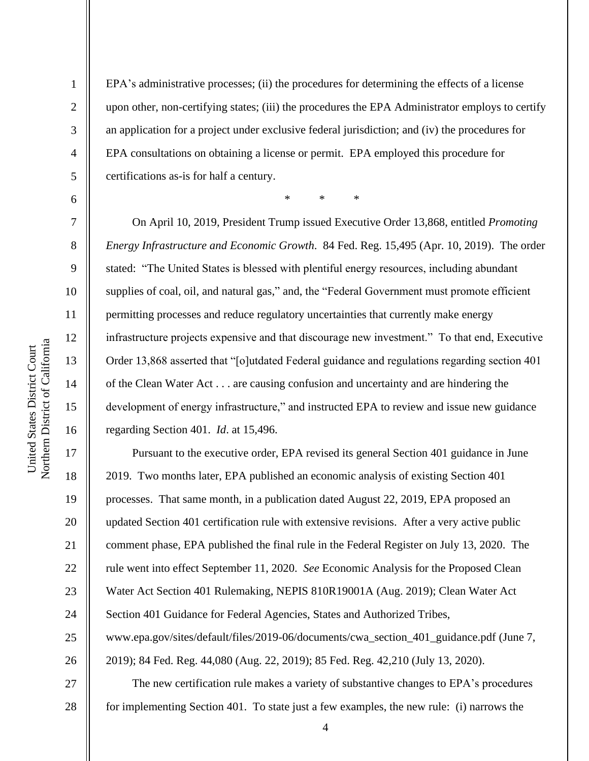2

3

4

5

6

7

8

9

10

11

12

13

14

15

16

17

18

19

20

21

22

23

24

25

26

27

EPA's administrative processes; (ii) the procedures for determining the effects of a license upon other, non-certifying states; (iii) the procedures the EPA Administrator employs to certify an application for a project under exclusive federal jurisdiction; and (iv) the procedures for EPA consultations on obtaining a license or permit. EPA employed this procedure for certifications as-is for half a century.

\* \* \*

On April 10, 2019, President Trump issued Executive Order 13,868, entitled *Promoting Energy Infrastructure and Economic Growth*. 84 Fed. Reg. 15,495 (Apr. 10, 2019). The order stated: "The United States is blessed with plentiful energy resources, including abundant supplies of coal, oil, and natural gas," and, the "Federal Government must promote efficient permitting processes and reduce regulatory uncertainties that currently make energy infrastructure projects expensive and that discourage new investment." To that end, Executive Order 13,868 asserted that "[o]utdated Federal guidance and regulations regarding section 401 of the Clean Water Act . . . are causing confusion and uncertainty and are hindering the development of energy infrastructure," and instructed EPA to review and issue new guidance regarding Section 401. *Id*. at 15,496.

Pursuant to the executive order, EPA revised its general Section 401 guidance in June 2019. Two months later, EPA published an economic analysis of existing Section 401 processes. That same month, in a publication dated August 22, 2019, EPA proposed an updated Section 401 certification rule with extensive revisions. After a very active public comment phase, EPA published the final rule in the Federal Register on July 13, 2020. The rule went into effect September 11, 2020. *See* Economic Analysis for the Proposed Clean Water Act Section 401 Rulemaking, NEPIS 810R19001A (Aug. 2019); Clean Water Act Section 401 Guidance for Federal Agencies, States and Authorized Tribes, www.epa.gov/sites/default/files/2019-06/documents/cwa\_section\_401\_guidance.pdf (June 7, 2019); 84 Fed. Reg. 44,080 (Aug. 22, 2019); 85 Fed. Reg. 42,210 (July 13, 2020). The new certification rule makes a variety of substantive changes to EPA's procedures

28 for implementing Section 401. To state just a few examples, the new rule: (i) narrows the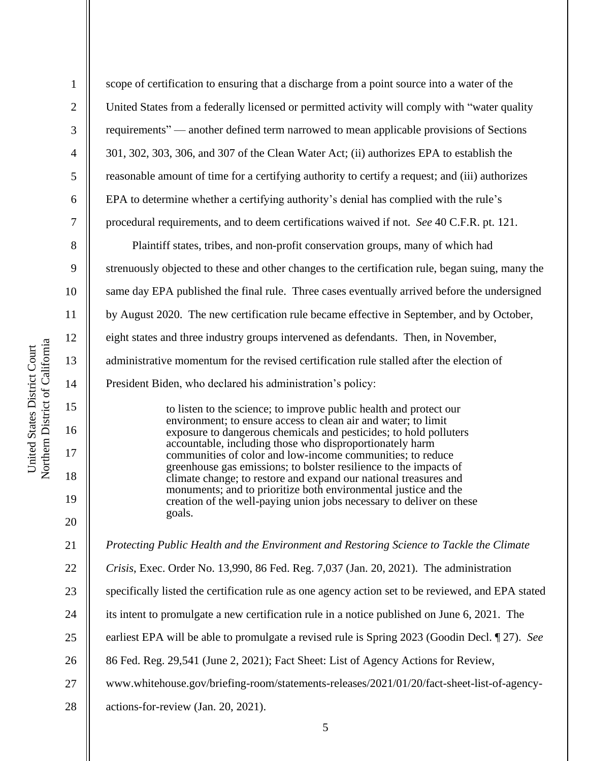2

3

4

5

6

7

8

9

10

11

12

13

14

15

16

17

18

19

20

21

scope of certification to ensuring that a discharge from a point source into a water of the United States from a federally licensed or permitted activity will comply with "water quality requirements" — another defined term narrowed to mean applicable provisions of Sections 301, 302, 303, 306, and 307 of the Clean Water Act; (ii) authorizes EPA to establish the reasonable amount of time for a certifying authority to certify a request; and (iii) authorizes EPA to determine whether a certifying authority's denial has complied with the rule's procedural requirements, and to deem certifications waived if not. *See* 40 C.F.R. pt. 121.

Plaintiff states, tribes, and non-profit conservation groups, many of which had strenuously objected to these and other changes to the certification rule, began suing, many the same day EPA published the final rule. Three cases eventually arrived before the undersigned by August 2020. The new certification rule became effective in September, and by October, eight states and three industry groups intervened as defendants. Then, in November, administrative momentum for the revised certification rule stalled after the election of President Biden, who declared his administration's policy:

> to listen to the science; to improve public health and protect our environment; to ensure access to clean air and water; to limit exposure to dangerous chemicals and pesticides; to hold polluters accountable, including those who disproportionately harm communities of color and low-income communities; to reduce greenhouse gas emissions; to bolster resilience to the impacts of climate change; to restore and expand our national treasures and monuments; and to prioritize both environmental justice and the creation of the well-paying union jobs necessary to deliver on these goals.

*Protecting Public Health and the Environment and Restoring Science to Tackle the Climate* 

- 22 *Crisis*, Exec. Order No. 13,990, 86 Fed. Reg. 7,037 (Jan. 20, 2021). The administration
- 23 specifically listed the certification rule as one agency action set to be reviewed, and EPA stated
- 24 its intent to promulgate a new certification rule in a notice published on June 6, 2021. The
- 25 earliest EPA will be able to promulgate a revised rule is Spring 2023 (Goodin Decl. ¶ 27). *See*
- 26 86 Fed. Reg. 29,541 (June 2, 2021); Fact Sheet: List of Agency Actions for Review,
- 27 www.whitehouse.gov/briefing-room/statements-releases/2021/01/20/fact-sheet-list-of-agency-
- 28 actions-for-review (Jan. 20, 2021).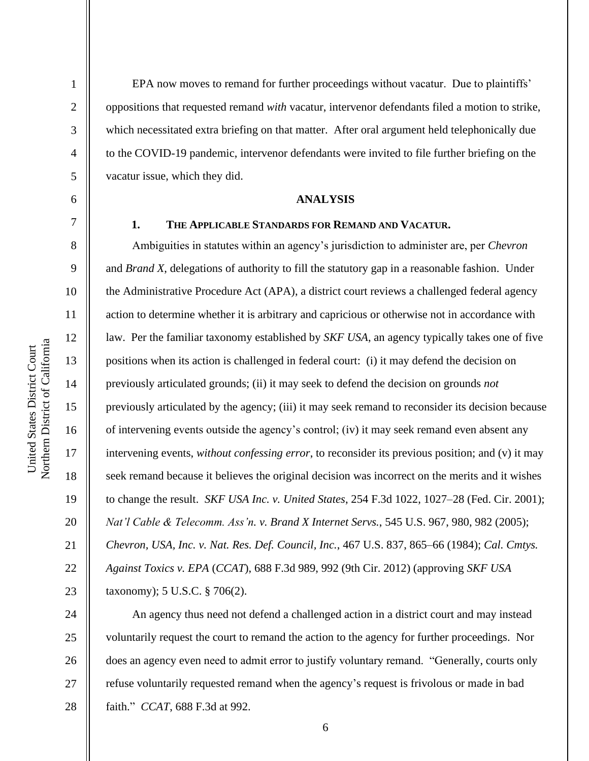EPA now moves to remand for further proceedings without vacatur. Due to plaintiffs' oppositions that requested remand *with* vacatur, intervenor defendants filed a motion to strike, which necessitated extra briefing on that matter. After oral argument held telephonically due to the COVID-19 pandemic, intervenor defendants were invited to file further briefing on the vacatur issue, which they did.

#### **ANALYSIS**

1

2

3

4

5

6

7

8

9

10

11

12

13

14

15

16

17

18

19

20

21

22

23

#### **1. THE APPLICABLE STANDARDS FOR REMAND AND VACATUR.**

Ambiguities in statutes within an agency's jurisdiction to administer are, per *Chevron*  and *Brand X*, delegations of authority to fill the statutory gap in a reasonable fashion. Under the Administrative Procedure Act (APA), a district court reviews a challenged federal agency action to determine whether it is arbitrary and capricious or otherwise not in accordance with law. Per the familiar taxonomy established by *SKF USA*, an agency typically takes one of five positions when its action is challenged in federal court: (i) it may defend the decision on previously articulated grounds; (ii) it may seek to defend the decision on grounds *not*  previously articulated by the agency; (iii) it may seek remand to reconsider its decision because of intervening events outside the agency's control; (iv) it may seek remand even absent any intervening events, *without confessing error*, to reconsider its previous position; and (v) it may seek remand because it believes the original decision was incorrect on the merits and it wishes to change the result. *SKF USA Inc. v. United States*, 254 F.3d 1022, 1027–28 (Fed. Cir. 2001); *Nat'l Cable & Telecomm. Ass'n. v. Brand X Internet Servs.*, 545 U.S. 967, 980, 982 (2005); *Chevron, USA, Inc. v. Nat. Res. Def. Council, Inc.*, 467 U.S. 837, 865–66 (1984); *Cal. Cmtys. Against Toxics v. EPA* (*CCAT*), 688 F.3d 989, 992 (9th Cir. 2012) (approving *SKF USA* taxonomy); 5 U.S.C. § 706(2).

24 25 26 27 28 An agency thus need not defend a challenged action in a district court and may instead voluntarily request the court to remand the action to the agency for further proceedings. Nor does an agency even need to admit error to justify voluntary remand. "Generally, courts only refuse voluntarily requested remand when the agency's request is frivolous or made in bad faith." *CCAT*, 688 F.3d at 992.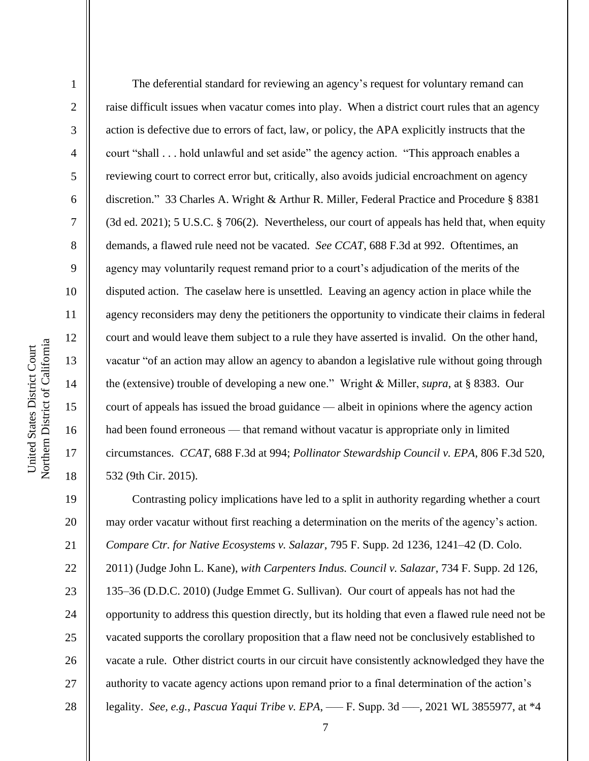2

3

4

5

6

7

8

9

10

11

12

13

14

15

16

17

18

19

20

21

22

23

24

25

26

27

28

The deferential standard for reviewing an agency's request for voluntary remand can raise difficult issues when vacatur comes into play. When a district court rules that an agency action is defective due to errors of fact, law, or policy, the APA explicitly instructs that the court "shall . . . hold unlawful and set aside" the agency action. "This approach enables a reviewing court to correct error but, critically, also avoids judicial encroachment on agency discretion." 33 Charles A. Wright & Arthur R. Miller, Federal Practice and Procedure § 8381 (3d ed. 2021); 5 U.S.C. § 706(2). Nevertheless, our court of appeals has held that, when equity demands, a flawed rule need not be vacated. *See CCAT*, 688 F.3d at 992. Oftentimes, an agency may voluntarily request remand prior to a court's adjudication of the merits of the disputed action. The caselaw here is unsettled. Leaving an agency action in place while the agency reconsiders may deny the petitioners the opportunity to vindicate their claims in federal court and would leave them subject to a rule they have asserted is invalid. On the other hand, vacatur "of an action may allow an agency to abandon a legislative rule without going through the (extensive) trouble of developing a new one." Wright & Miller, *supra*, at § 8383. Our court of appeals has issued the broad guidance — albeit in opinions where the agency action had been found erroneous — that remand without vacatur is appropriate only in limited circumstances. *CCAT*, 688 F.3d at 994; *Pollinator Stewardship Council v. EPA*, 806 F.3d 520, 532 (9th Cir. 2015).

Contrasting policy implications have led to a split in authority regarding whether a court may order vacatur without first reaching a determination on the merits of the agency's action. *Compare Ctr. for Native Ecosystems v. Salazar*, 795 F. Supp. 2d 1236, 1241–42 (D. Colo. 2011) (Judge John L. Kane), *with Carpenters Indus. Council v. Salazar*, 734 F. Supp. 2d 126, 135–36 (D.D.C. 2010) (Judge Emmet G. Sullivan). Our court of appeals has not had the opportunity to address this question directly, but its holding that even a flawed rule need not be vacated supports the corollary proposition that a flaw need not be conclusively established to vacate a rule. Other district courts in our circuit have consistently acknowledged they have the authority to vacate agency actions upon remand prior to a final determination of the action's legality. *See, e.g.*, *Pascua Yaqui Tribe v. EPA*, ––– F. Supp. 3d –––, 2021 WL 3855977, at \*4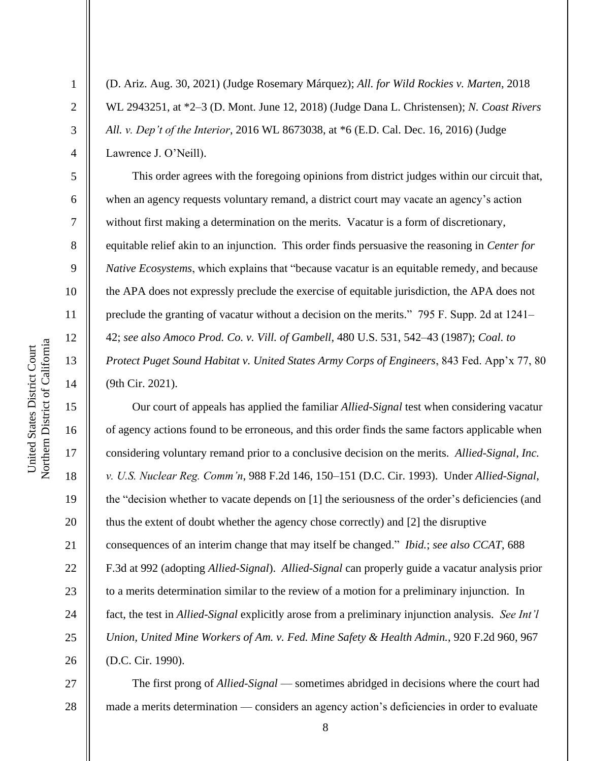2

3

4

5

6

7

8

9

10

11

12

13

14

15

16

17

18

19

20

21

22

23

24

25

26

(D. Ariz. Aug. 30, 2021) (Judge Rosemary Márquez); *All. for Wild Rockies v. Marten*, 2018 WL 2943251, at \*2–3 (D. Mont. June 12, 2018) (Judge Dana L. Christensen); *N. Coast Rivers All. v. Dep't of the Interior*, 2016 WL 8673038, at \*6 (E.D. Cal. Dec. 16, 2016) (Judge Lawrence J. O'Neill).

This order agrees with the foregoing opinions from district judges within our circuit that, when an agency requests voluntary remand, a district court may vacate an agency's action without first making a determination on the merits. Vacatur is a form of discretionary, equitable relief akin to an injunction. This order finds persuasive the reasoning in *Center for Native Ecosystems*, which explains that "because vacatur is an equitable remedy, and because the APA does not expressly preclude the exercise of equitable jurisdiction, the APA does not preclude the granting of vacatur without a decision on the merits." 795 F. Supp. 2d at 1241– 42; *see also Amoco Prod. Co. v. Vill. of Gambell*, 480 U.S. 531, 542–43 (1987); *Coal. to Protect Puget Sound Habitat v. United States Army Corps of Engineers*, 843 Fed. App'x 77, 80 (9th Cir. 2021).

Our court of appeals has applied the familiar *Allied-Signal* test when considering vacatur of agency actions found to be erroneous, and this order finds the same factors applicable when considering voluntary remand prior to a conclusive decision on the merits. *Allied-Signal, Inc. v. U.S. Nuclear Reg. Comm'n*, 988 F.2d 146, 150–151 (D.C. Cir. 1993). Under *Allied-Signal*, the "decision whether to vacate depends on [1] the seriousness of the order's deficiencies (and thus the extent of doubt whether the agency chose correctly) and [2] the disruptive consequences of an interim change that may itself be changed." *Ibid.*; *see also CCAT*, 688 F.3d at 992 (adopting *Allied-Signal*). *Allied-Signal* can properly guide a vacatur analysis prior to a merits determination similar to the review of a motion for a preliminary injunction. In fact, the test in *Allied-Signal* explicitly arose from a preliminary injunction analysis. *See Int'l Union, United Mine Workers of Am. v. Fed. Mine Safety & Health Admin.*, 920 F.2d 960, 967 (D.C. Cir. 1990).

27 28 The first prong of *Allied-Signal* — sometimes abridged in decisions where the court had made a merits determination — considers an agency action's deficiencies in order to evaluate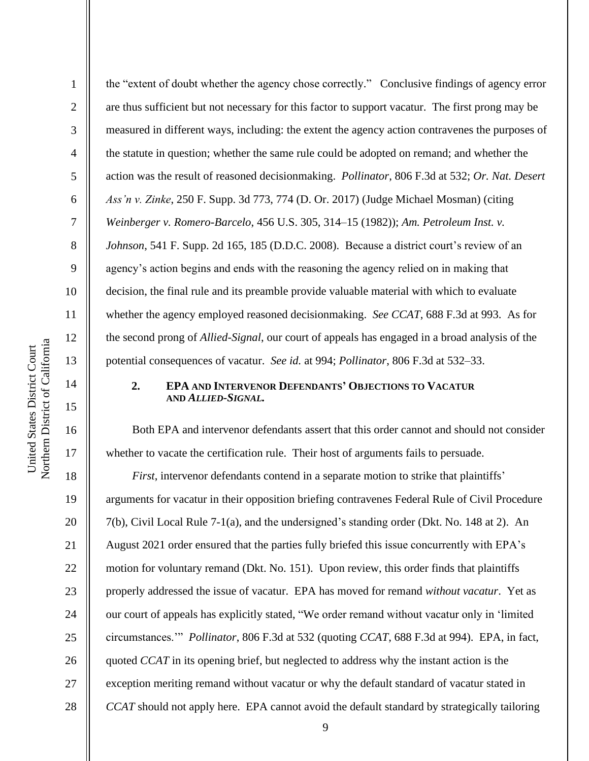2

3

4

5

6

7

8

9

10

11

12

13

14

15

16

17

18

19

20

21

22

23

24

25

26

27

28

the "extent of doubt whether the agency chose correctly." Conclusive findings of agency error are thus sufficient but not necessary for this factor to support vacatur. The first prong may be measured in different ways, including: the extent the agency action contravenes the purposes of the statute in question; whether the same rule could be adopted on remand; and whether the action was the result of reasoned decisionmaking. *Pollinator*, 806 F.3d at 532; *Or. Nat. Desert Ass'n v. Zinke*, 250 F. Supp. 3d 773, 774 (D. Or. 2017) (Judge Michael Mosman) (citing *Weinberger v. Romero-Barcelo*, 456 U.S. 305, 314–15 (1982)); *Am. Petroleum Inst. v. Johnson*, 541 F. Supp. 2d 165, 185 (D.D.C. 2008). Because a district court's review of an agency's action begins and ends with the reasoning the agency relied on in making that decision, the final rule and its preamble provide valuable material with which to evaluate whether the agency employed reasoned decisionmaking. *See CCAT*, 688 F.3d at 993. As for the second prong of *Allied-Signal*, our court of appeals has engaged in a broad analysis of the potential consequences of vacatur. *See id.* at 994; *Pollinator*, 806 F.3d at 532–33.

## **2. EPA AND INTERVENOR DEFENDANTS' OBJECTIONS TO VACATUR AND** *ALLIED-SIGNAL.*

Both EPA and intervenor defendants assert that this order cannot and should not consider whether to vacate the certification rule. Their host of arguments fails to persuade.

*First*, intervenor defendants contend in a separate motion to strike that plaintiffs' arguments for vacatur in their opposition briefing contravenes Federal Rule of Civil Procedure 7(b), Civil Local Rule 7-1(a), and the undersigned's standing order (Dkt. No. 148 at 2). An August 2021 order ensured that the parties fully briefed this issue concurrently with EPA's motion for voluntary remand (Dkt. No. 151). Upon review, this order finds that plaintiffs properly addressed the issue of vacatur. EPA has moved for remand *without vacatur*. Yet as our court of appeals has explicitly stated, "We order remand without vacatur only in 'limited circumstances.'" *Pollinator*, 806 F.3d at 532 (quoting *CCAT*, 688 F.3d at 994). EPA, in fact, quoted *CCAT* in its opening brief, but neglected to address why the instant action is the exception meriting remand without vacatur or why the default standard of vacatur stated in *CCAT* should not apply here. EPA cannot avoid the default standard by strategically tailoring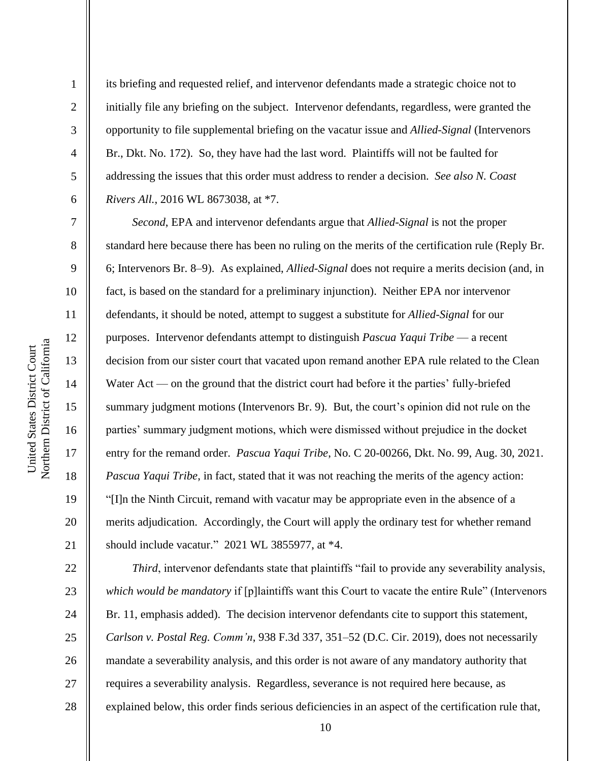2

3

4

5

6

7

8

9

10

11

12

13

14

15

16

17

18

19

20

21

22

23

24

25

26

27

28

its briefing and requested relief, and intervenor defendants made a strategic choice not to initially file any briefing on the subject. Intervenor defendants, regardless, were granted the opportunity to file supplemental briefing on the vacatur issue and *Allied-Signal* (Intervenors Br., Dkt. No. 172). So, they have had the last word. Plaintiffs will not be faulted for addressing the issues that this order must address to render a decision. *See also N. Coast Rivers All.*, 2016 WL 8673038, at \*7.

*Second*, EPA and intervenor defendants argue that *Allied-Signal* is not the proper standard here because there has been no ruling on the merits of the certification rule (Reply Br. 6; Intervenors Br. 8–9). As explained, *Allied-Signal* does not require a merits decision (and, in fact, is based on the standard for a preliminary injunction). Neither EPA nor intervenor defendants, it should be noted, attempt to suggest a substitute for *Allied-Signal* for our purposes. Intervenor defendants attempt to distinguish *Pascua Yaqui Tribe* — a recent decision from our sister court that vacated upon remand another EPA rule related to the Clean Water Act — on the ground that the district court had before it the parties' fully-briefed summary judgment motions (Intervenors Br. 9). But, the court's opinion did not rule on the parties' summary judgment motions, which were dismissed without prejudice in the docket entry for the remand order. *Pascua Yaqui Tribe*, No. C 20-00266, Dkt. No. 99, Aug. 30, 2021. *Pascua Yaqui Tribe*, in fact, stated that it was not reaching the merits of the agency action: "[I]n the Ninth Circuit, remand with vacatur may be appropriate even in the absence of a merits adjudication. Accordingly, the Court will apply the ordinary test for whether remand should include vacatur." 2021 WL 3855977, at \*4.

*Third*, intervenor defendants state that plaintiffs "fail to provide any severability analysis, *which would be mandatory* if [p]laintiffs want this Court to vacate the entire Rule" (Intervenors Br. 11, emphasis added). The decision intervenor defendants cite to support this statement, *Carlson v. Postal Reg. Comm'n*, 938 F.3d 337, 351–52 (D.C. Cir. 2019), does not necessarily mandate a severability analysis, and this order is not aware of any mandatory authority that requires a severability analysis. Regardless, severance is not required here because, as explained below, this order finds serious deficiencies in an aspect of the certification rule that,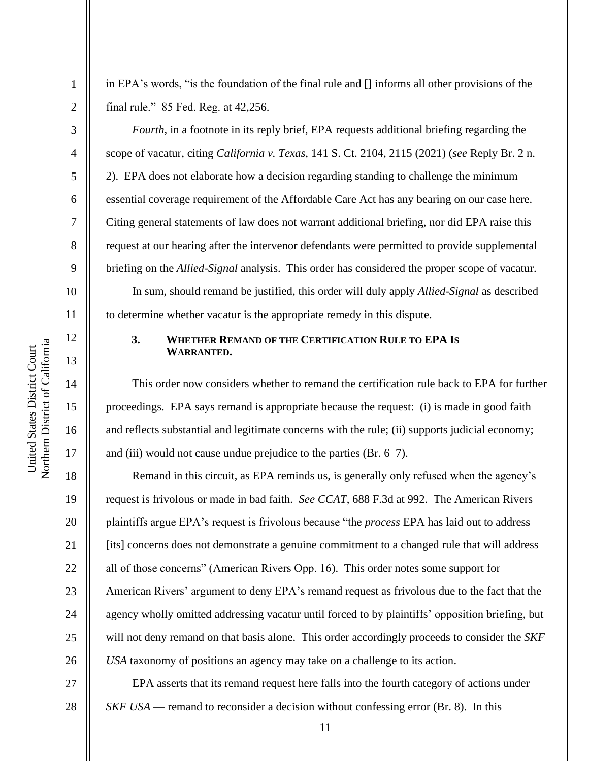2

3

4

5

6

7

8

9

10

11

12

13

14

15

16

17

18

19

20

21

22

23

24

25

26

27

28

in EPA's words, "is the foundation of the final rule and [] informs all other provisions of the final rule." 85 Fed. Reg. at 42,256.

*Fourth*, in a footnote in its reply brief, EPA requests additional briefing regarding the scope of vacatur, citing *California v. Texas*, 141 S. Ct. 2104, 2115 (2021) (*see* Reply Br. 2 n. 2). EPA does not elaborate how a decision regarding standing to challenge the minimum essential coverage requirement of the Affordable Care Act has any bearing on our case here. Citing general statements of law does not warrant additional briefing, nor did EPA raise this request at our hearing after the intervenor defendants were permitted to provide supplemental briefing on the *Allied-Signal* analysis. This order has considered the proper scope of vacatur.

In sum, should remand be justified, this order will duly apply *Allied-Signal* as described to determine whether vacatur is the appropriate remedy in this dispute.

# **3. WHETHER REMAND OF THE CERTIFICATION RULE TO EPA IS WARRANTED.**

This order now considers whether to remand the certification rule back to EPA for further proceedings. EPA says remand is appropriate because the request: (i) is made in good faith and reflects substantial and legitimate concerns with the rule; (ii) supports judicial economy; and (iii) would not cause undue prejudice to the parties (Br. 6–7).

Remand in this circuit, as EPA reminds us, is generally only refused when the agency's request is frivolous or made in bad faith. *See CCAT*, 688 F.3d at 992. The American Rivers plaintiffs argue EPA's request is frivolous because "the *process* EPA has laid out to address [its] concerns does not demonstrate a genuine commitment to a changed rule that will address all of those concerns" (American Rivers Opp. 16). This order notes some support for American Rivers' argument to deny EPA's remand request as frivolous due to the fact that the agency wholly omitted addressing vacatur until forced to by plaintiffs' opposition briefing, but will not deny remand on that basis alone. This order accordingly proceeds to consider the *SKF USA* taxonomy of positions an agency may take on a challenge to its action.

EPA asserts that its remand request here falls into the fourth category of actions under *SKF USA* — remand to reconsider a decision without confessing error (Br. 8). In this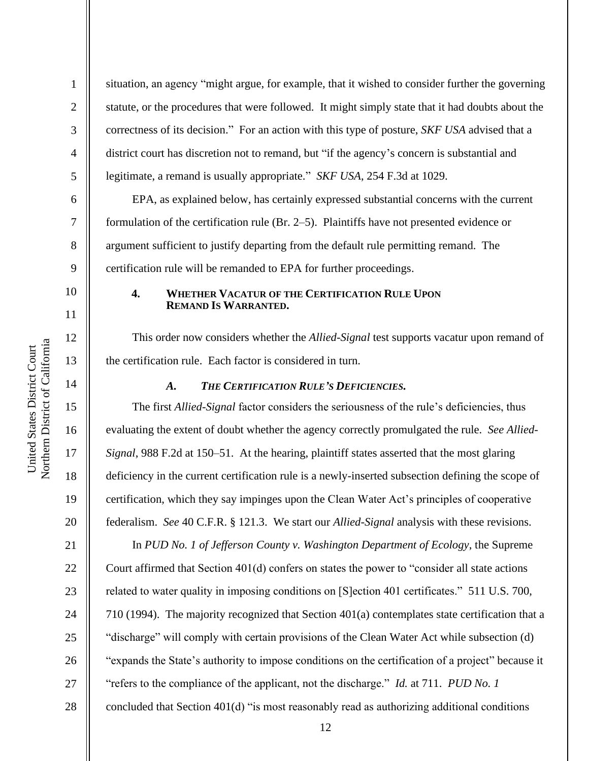2

3

4

5

6

7

8

9

10

11

12

13

14

15

16

17

18

19

20

21

22

23

24

25

26

27

situation, an agency "might argue, for example, that it wished to consider further the governing statute, or the procedures that were followed. It might simply state that it had doubts about the correctness of its decision." For an action with this type of posture, *SKF USA* advised that a district court has discretion not to remand, but "if the agency's concern is substantial and legitimate, a remand is usually appropriate." *SKF USA*, 254 F.3d at 1029.

EPA, as explained below, has certainly expressed substantial concerns with the current formulation of the certification rule (Br. 2–5). Plaintiffs have not presented evidence or argument sufficient to justify departing from the default rule permitting remand. The certification rule will be remanded to EPA for further proceedings.

#### **4. WHETHER VACATUR OF THE CERTIFICATION RULE UPON REMAND IS WARRANTED.**

This order now considers whether the *Allied-Signal* test supports vacatur upon remand of the certification rule. Each factor is considered in turn.

# *A. THE CERTIFICATION RULE'S DEFICIENCIES.*

The first *Allied-Signal* factor considers the seriousness of the rule's deficiencies, thus evaluating the extent of doubt whether the agency correctly promulgated the rule. *See Allied-Signal*, 988 F.2d at 150–51. At the hearing, plaintiff states asserted that the most glaring deficiency in the current certification rule is a newly-inserted subsection defining the scope of certification, which they say impinges upon the Clean Water Act's principles of cooperative federalism. *See* 40 C.F.R. § 121.3. We start our *Allied-Signal* analysis with these revisions. In *PUD No. 1 of Jefferson County v. Washington Department of Ecology*, the Supreme Court affirmed that Section 401(d) confers on states the power to "consider all state actions related to water quality in imposing conditions on [S]ection 401 certificates." 511 U.S. 700, 710 (1994). The majority recognized that Section 401(a) contemplates state certification that a "discharge" will comply with certain provisions of the Clean Water Act while subsection (d) "expands the State's authority to impose conditions on the certification of a project" because it "refers to the compliance of the applicant, not the discharge." *Id.* at 711. *PUD No. 1* concluded that Section 401(d) "is most reasonably read as authorizing additional conditions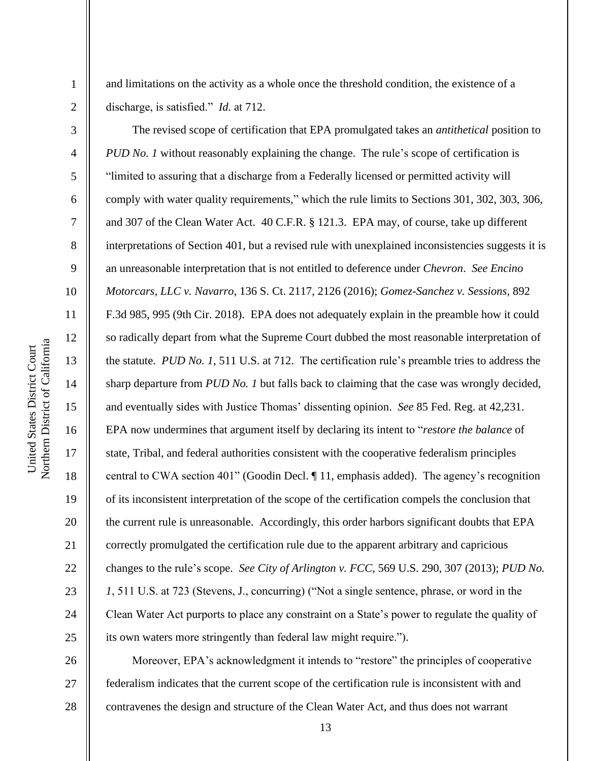Northern District of California United States District Court United States District Court

and limitations on the activity as a whole once the threshold condition, the existence of a discharge, is satisfied." *Id.* at 712.

The revised scope of certification that EPA promulgated takes an *antithetical* position to *PUD No. 1* without reasonably explaining the change. The rule's scope of certification is "limited to assuring that a discharge from a Federally licensed or permitted activity will comply with water quality requirements," which the rule limits to Sections 301, 302, 303, 306, and 307 of the Clean Water Act. 40 C.F.R. § 121.3. EPA may, of course, take up different interpretations of Section 401, but a revised rule with unexplained inconsistencies suggests it is an unreasonable interpretation that is not entitled to deference under *Chevron*. *See Encino Motorcars, LLC v. Navarro*, 136 S. Ct. 2117, 2126 (2016); *Gomez-Sanchez v. Sessions*, 892 F.3d 985, 995 (9th Cir. 2018). EPA does not adequately explain in the preamble how it could so radically depart from what the Supreme Court dubbed the most reasonable interpretation of the statute. *PUD No. 1*, 511 U.S. at 712. The certification rule's preamble tries to address the sharp departure from *PUD No. 1* but falls back to claiming that the case was wrongly decided, and eventually sides with Justice Thomas' dissenting opinion. *See* 85 Fed. Reg. at 42,231. EPA now undermines that argument itself by declaring its intent to "*restore the balance* of state, Tribal, and federal authorities consistent with the cooperative federalism principles central to CWA section 401" (Goodin Decl. ¶ 11, emphasis added). The agency's recognition of its inconsistent interpretation of the scope of the certification compels the conclusion that the current rule is unreasonable. Accordingly, this order harbors significant doubts that EPA correctly promulgated the certification rule due to the apparent arbitrary and capricious changes to the rule's scope. *See City of Arlington v. FCC*, 569 U.S. 290, 307 (2013); *PUD No. 1*, 511 U.S. at 723 (Stevens, J., concurring) ("Not a single sentence, phrase, or word in the Clean Water Act purports to place any constraint on a State's power to regulate the quality of its own waters more stringently than federal law might require.").

26 27 28 Moreover, EPA's acknowledgment it intends to "restore" the principles of cooperative federalism indicates that the current scope of the certification rule is inconsistent with and contravenes the design and structure of the Clean Water Act, and thus does not warrant

19

20

21

22

23

24

25

1

2

3

4

5

6

7

8

9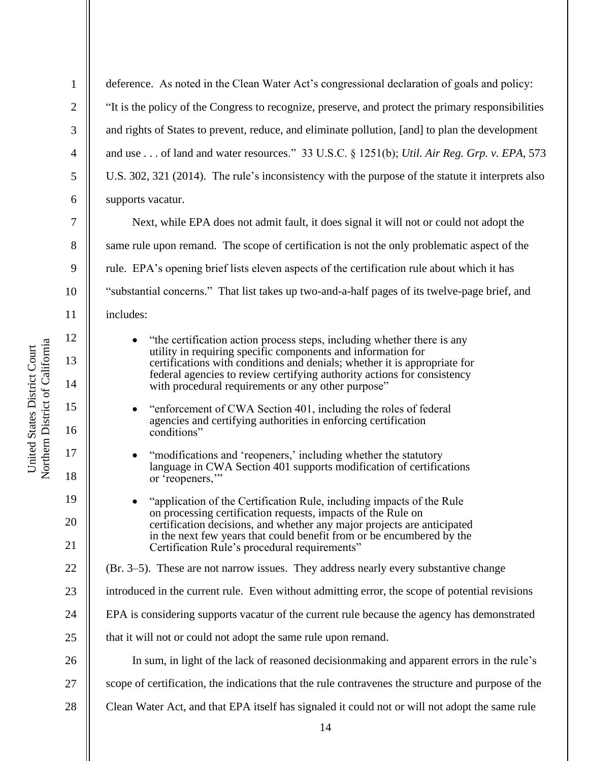2

3

4

5

6

7

8

9

10

11

12

13

14

15

16

17

18

19

20

21

22

deference. As noted in the Clean Water Act's congressional declaration of goals and policy: "It is the policy of the Congress to recognize, preserve, and protect the primary responsibilities and rights of States to prevent, reduce, and eliminate pollution, [and] to plan the development and use . . . of land and water resources." 33 U.S.C. § 1251(b); *Util. Air Reg. Grp. v. EPA*, 573 U.S. 302, 321 (2014). The rule's inconsistency with the purpose of the statute it interprets also supports vacatur. Next, while EPA does not admit fault, it does signal it will not or could not adopt the same rule upon remand. The scope of certification is not the only problematic aspect of the rule. EPA's opening brief lists eleven aspects of the certification rule about which it has "substantial concerns." That list takes up two-and-a-half pages of its twelve-page brief, and includes: • "the certification action process steps, including whether there is any utility in requiring specific components and information for certifications with conditions and denials; whether it is appropriate for federal agencies to review certifying authority actions for consistency with procedural requirements or any other purpose" • "enforcement of CWA Section 401, including the roles of federal agencies and certifying authorities in enforcing certification conditions" • "modifications and 'reopeners,' including whether the statutory language in CWA Section 401 supports modification of certifications or 'reopeners,"

- "application of the Certification Rule, including impacts of the Rule on processing certification requests, impacts of the Rule on certification decisions, and whether any major projects are anticipated in the next few years that could benefit from or be encumbered by the Certification Rule's procedural requirements"
- (Br. 3–5). These are not narrow issues. They address nearly every substantive change
- 23 introduced in the current rule. Even without admitting error, the scope of potential revisions
- 24 EPA is considering supports vacatur of the current rule because the agency has demonstrated
- 25 that it will not or could not adopt the same rule upon remand.
- 26 In sum, in light of the lack of reasoned decisionmaking and apparent errors in the rule's
- 27 scope of certification, the indications that the rule contravenes the structure and purpose of the
- 28 Clean Water Act, and that EPA itself has signaled it could not or will not adopt the same rule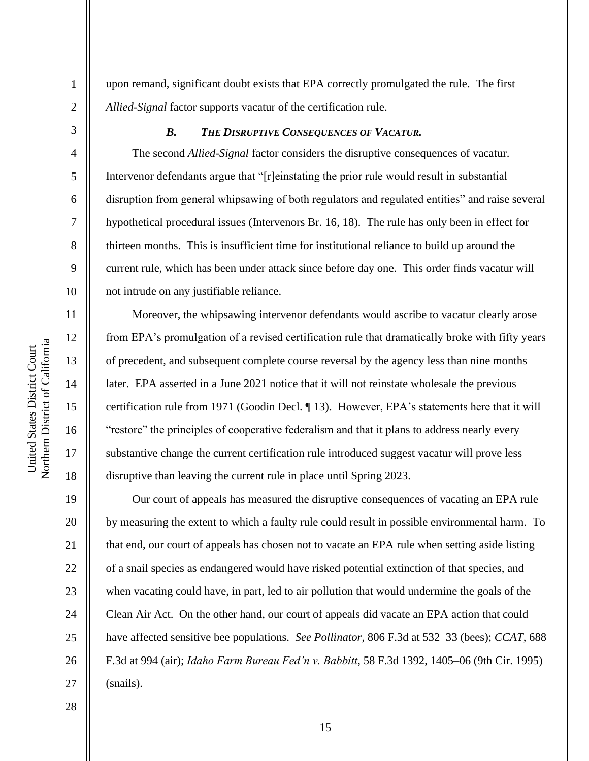upon remand, significant doubt exists that EPA correctly promulgated the rule. The first *Allied-Signal* factor supports vacatur of the certification rule.

1

2

3

4

5

6

7

8

9

10

11

12

13

14

15

16

17

18

19

20

21

22

23

24

25

26

27

28

# *B. THE DISRUPTIVE CONSEQUENCES OF VACATUR.*

The second *Allied-Signal* factor considers the disruptive consequences of vacatur. Intervenor defendants argue that "[r]einstating the prior rule would result in substantial disruption from general whipsawing of both regulators and regulated entities" and raise several hypothetical procedural issues (Intervenors Br. 16, 18). The rule has only been in effect for thirteen months. This is insufficient time for institutional reliance to build up around the current rule, which has been under attack since before day one. This order finds vacatur will not intrude on any justifiable reliance.

Moreover, the whipsawing intervenor defendants would ascribe to vacatur clearly arose from EPA's promulgation of a revised certification rule that dramatically broke with fifty years of precedent, and subsequent complete course reversal by the agency less than nine months later. EPA asserted in a June 2021 notice that it will not reinstate wholesale the previous certification rule from 1971 (Goodin Decl. ¶ 13). However, EPA's statements here that it will "restore" the principles of cooperative federalism and that it plans to address nearly every substantive change the current certification rule introduced suggest vacatur will prove less disruptive than leaving the current rule in place until Spring 2023.

Our court of appeals has measured the disruptive consequences of vacating an EPA rule by measuring the extent to which a faulty rule could result in possible environmental harm. To that end, our court of appeals has chosen not to vacate an EPA rule when setting aside listing of a snail species as endangered would have risked potential extinction of that species, and when vacating could have, in part, led to air pollution that would undermine the goals of the Clean Air Act. On the other hand, our court of appeals did vacate an EPA action that could have affected sensitive bee populations. *See Pollinator*, 806 F.3d at 532–33 (bees); *CCAT*, 688 F.3d at 994 (air); *Idaho Farm Bureau Fed'n v. Babbitt*, 58 F.3d 1392, 1405–06 (9th Cir. 1995) (snails).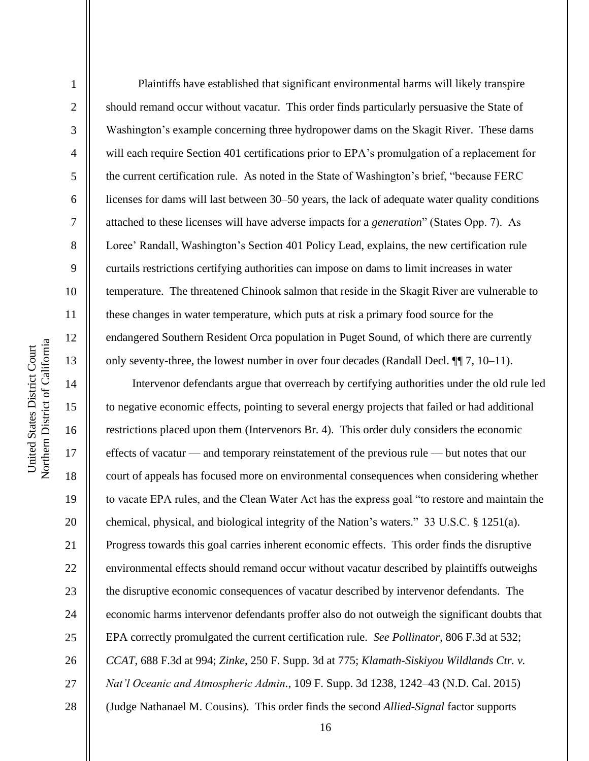Northern District of California Northern District of California United States District Court United States District Court

1

2

3

4

5

6

7

8

9

10

11

12

13

14

15

16

17

18

19

20

21

22

23

24

25

26

27

28

 Plaintiffs have established that significant environmental harms will likely transpire should remand occur without vacatur. This order finds particularly persuasive the State of Washington's example concerning three hydropower dams on the Skagit River. These dams will each require Section 401 certifications prior to EPA's promulgation of a replacement for the current certification rule. As noted in the State of Washington's brief, "because FERC licenses for dams will last between 30–50 years, the lack of adequate water quality conditions attached to these licenses will have adverse impacts for a *generation*" (States Opp. 7). As Loree' Randall, Washington's Section 401 Policy Lead, explains, the new certification rule curtails restrictions certifying authorities can impose on dams to limit increases in water temperature. The threatened Chinook salmon that reside in the Skagit River are vulnerable to these changes in water temperature, which puts at risk a primary food source for the endangered Southern Resident Orca population in Puget Sound, of which there are currently only seventy-three, the lowest number in over four decades (Randall Decl. ¶¶ 7, 10–11).

Intervenor defendants argue that overreach by certifying authorities under the old rule led to negative economic effects, pointing to several energy projects that failed or had additional restrictions placed upon them (Intervenors Br. 4). This order duly considers the economic effects of vacatur — and temporary reinstatement of the previous rule — but notes that our court of appeals has focused more on environmental consequences when considering whether to vacate EPA rules, and the Clean Water Act has the express goal "to restore and maintain the chemical, physical, and biological integrity of the Nation's waters." 33 U.S.C. § 1251(a). Progress towards this goal carries inherent economic effects. This order finds the disruptive environmental effects should remand occur without vacatur described by plaintiffs outweighs the disruptive economic consequences of vacatur described by intervenor defendants. The economic harms intervenor defendants proffer also do not outweigh the significant doubts that EPA correctly promulgated the current certification rule. *See Pollinator*, 806 F.3d at 532; *CCAT*, 688 F.3d at 994; *Zinke*, 250 F. Supp. 3d at 775; *Klamath-Siskiyou Wildlands Ctr. v. Nat'l Oceanic and Atmospheric Admin.*, 109 F. Supp. 3d 1238, 1242–43 (N.D. Cal. 2015) (Judge Nathanael M. Cousins). This order finds the second *Allied-Signal* factor supports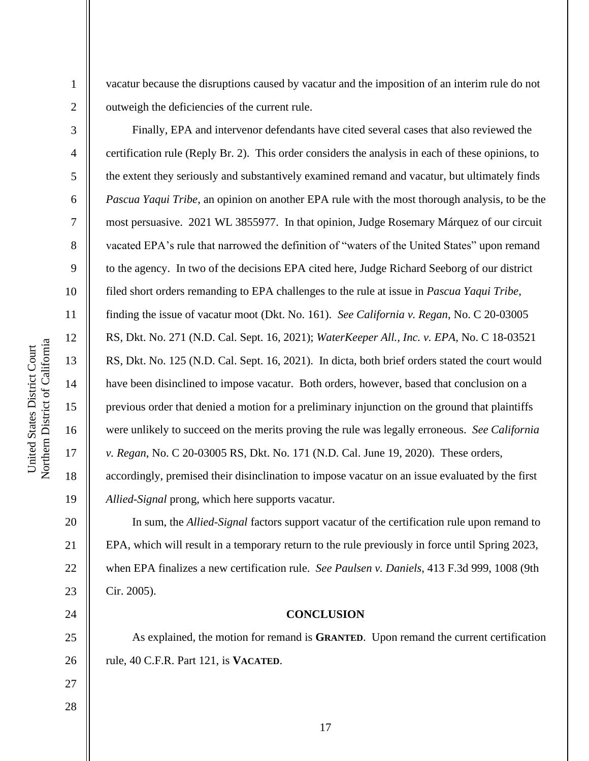vacatur because the disruptions caused by vacatur and the imposition of an interim rule do not outweigh the deficiencies of the current rule.

Finally, EPA and intervenor defendants have cited several cases that also reviewed the certification rule (Reply Br. 2). This order considers the analysis in each of these opinions, to the extent they seriously and substantively examined remand and vacatur, but ultimately finds *Pascua Yaqui Tribe*, an opinion on another EPA rule with the most thorough analysis, to be the most persuasive. 2021 WL 3855977. In that opinion, Judge Rosemary Márquez of our circuit vacated EPA's rule that narrowed the definition of "waters of the United States" upon remand to the agency. In two of the decisions EPA cited here, Judge Richard Seeborg of our district filed short orders remanding to EPA challenges to the rule at issue in *Pascua Yaqui Tribe*, finding the issue of vacatur moot (Dkt. No. 161). *See California v. Regan*, No. C 20-03005 RS, Dkt. No. 271 (N.D. Cal. Sept. 16, 2021); *WaterKeeper All., Inc. v. EPA*, No. C 18-03521 RS, Dkt. No. 125 (N.D. Cal. Sept. 16, 2021). In dicta, both brief orders stated the court would have been disinclined to impose vacatur. Both orders, however, based that conclusion on a previous order that denied a motion for a preliminary injunction on the ground that plaintiffs were unlikely to succeed on the merits proving the rule was legally erroneous. *See California v. Regan*, No. C 20-03005 RS, Dkt. No. 171 (N.D. Cal. June 19, 2020). These orders, accordingly, premised their disinclination to impose vacatur on an issue evaluated by the first *Allied-Signal* prong, which here supports vacatur.

In sum, the *Allied-Signal* factors support vacatur of the certification rule upon remand to EPA, which will result in a temporary return to the rule previously in force until Spring 2023, when EPA finalizes a new certification rule. *See Paulsen v. Daniels*, 413 F.3d 999, 1008 (9th Cir. 2005).

## **CONCLUSION**

As explained, the motion for remand is **GRANTED**. Upon remand the current certification rule, 40 C.F.R. Part 121, is **VACATED**.

Northern District of California Northern District of California United States District Court United States District Court

1

2

3

4

5

6

7

8

9

10

11

12

13

14

15

16

17

18

19

20

21

22

23

24

25

26

27

28